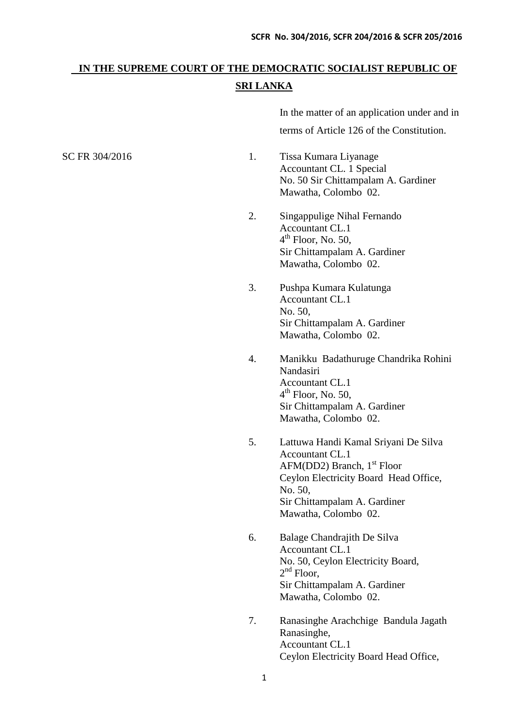# **IN THE SUPREME COURT OF THE DEMOCRATIC SOCIALIST REPUBLIC OF SRI LANKA**

In the matter of an application under and in terms of Article 126 of the Constitution.

- SC FR 304/2016 1. Tissa Kumara Liyanage Accountant CL. 1 Special No. 50 Sir Chittampalam A. Gardiner Mawatha, Colombo 02.
	- 2. Singappulige Nihal Fernando Accountant CL.1 4<sup>th</sup> Floor, No. 50, Sir Chittampalam A. Gardiner Mawatha, Colombo 02.
	- 3. Pushpa Kumara Kulatunga Accountant CL.1 No. 50, Sir Chittampalam A. Gardiner Mawatha, Colombo 02.
	- 4. Manikku Badathuruge Chandrika Rohini Nandasiri Accountant CL.1 4<sup>th</sup> Floor, No. 50, Sir Chittampalam A. Gardiner Mawatha, Colombo 02.
	- 5. Lattuwa Handi Kamal Sriyani De Silva Accountant CL.1 AFM(DD2) Branch,  $1<sup>st</sup>$  Floor Ceylon Electricity Board Head Office, No. 50, Sir Chittampalam A. Gardiner Mawatha, Colombo 02.
	- 6. Balage Chandrajith De Silva Accountant CL.1 No. 50, Ceylon Electricity Board, 2<sup>nd</sup> Floor, Sir Chittampalam A. Gardiner Mawatha, Colombo 02.
	- 7. Ranasinghe Arachchige Bandula Jagath Ranasinghe, Accountant CL.1 Ceylon Electricity Board Head Office,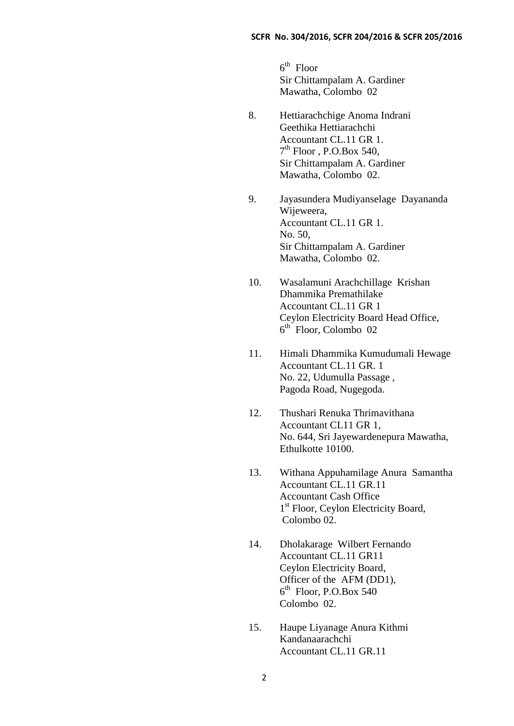$6<sup>th</sup>$  Floor Sir Chittampalam A. Gardiner Mawatha, Colombo 02

- 8. Hettiarachchige Anoma Indrani Geethika Hettiarachchi Accountant CL.11 GR 1. 7<sup>th</sup> Floor, P.O.Box 540, Sir Chittampalam A. Gardiner Mawatha, Colombo 02.
- 9. Jayasundera Mudiyanselage Dayananda Wijeweera, Accountant CL.11 GR 1. No. 50, Sir Chittampalam A. Gardiner Mawatha, Colombo 02.
- 10. Wasalamuni Arachchillage Krishan Dhammika Premathilake Accountant CL.11 GR 1 Ceylon Electricity Board Head Office, 6 th Floor, Colombo 02
- 11. Himali Dhammika Kumudumali Hewage Accountant CL.11 GR. 1 No. 22, Udumulla Passage , Pagoda Road, Nugegoda.
- 12. Thushari Renuka Thrimavithana Accountant CL11 GR 1, No. 644, Sri Jayewardenepura Mawatha, Ethulkotte 10100.
- 13. Withana Appuhamilage Anura Samantha Accountant CL.11 GR.11 Accountant Cash Office 1 st Floor, Ceylon Electricity Board, Colombo 02.
- 14. Dholakarage Wilbert Fernando Accountant CL.11 GR11 Ceylon Electricity Board, Officer of the AFM (DD1), 6<sup>th</sup> Floor, P.O.Box 540 Colombo 02.
- 15. Haupe Liyanage Anura Kithmi Kandanaarachchi Accountant CL.11 GR.11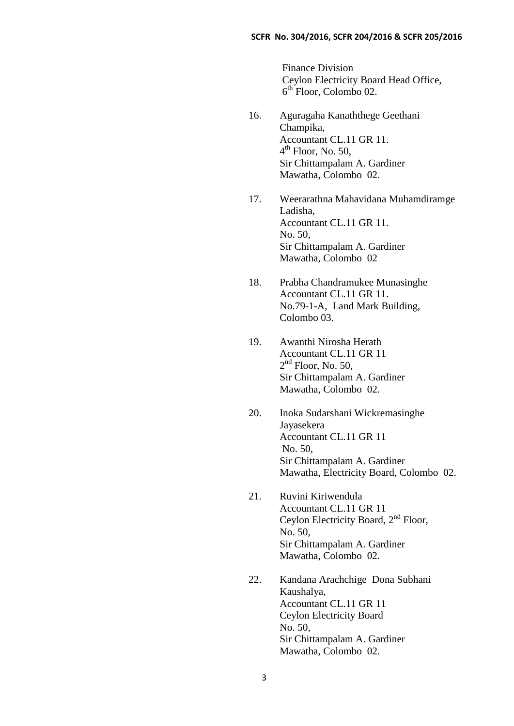Finance Division Ceylon Electricity Board Head Office, 6 th Floor, Colombo 02.

- 16. Aguragaha Kanaththege Geethani Champika, Accountant CL.11 GR 11. 4<sup>th</sup> Floor, No. 50, Sir Chittampalam A. Gardiner Mawatha, Colombo 02.
- 17. Weerarathna Mahavidana Muhamdiramge Ladisha, Accountant CL.11 GR 11. No. 50, Sir Chittampalam A. Gardiner Mawatha, Colombo 02
- 18. Prabha Chandramukee Munasinghe Accountant CL.11 GR 11. No.79-1-A, Land Mark Building, Colombo 03.
- 19. Awanthi Nirosha Herath Accountant CL.11 GR 11  $2<sup>nd</sup>$  Floor, No. 50, Sir Chittampalam A. Gardiner Mawatha, Colombo 02.
- 20. Inoka Sudarshani Wickremasinghe Jayasekera Accountant CL.11 GR 11 No. 50, Sir Chittampalam A. Gardiner Mawatha, Electricity Board, Colombo 02.
- 21. Ruvini Kiriwendula Accountant CL.11 GR 11 Ceylon Electricity Board, 2nd Floor, No. 50, Sir Chittampalam A. Gardiner Mawatha, Colombo 02.
- 22. Kandana Arachchige Dona Subhani Kaushalya, Accountant CL.11 GR 11 Ceylon Electricity Board No. 50, Sir Chittampalam A. Gardiner Mawatha, Colombo 02.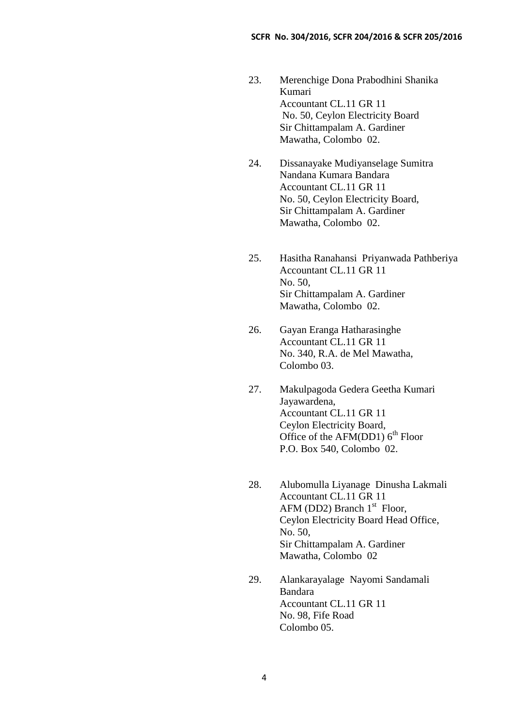- 23. Merenchige Dona Prabodhini Shanika Kumari Accountant CL.11 GR 11 No. 50, Ceylon Electricity Board Sir Chittampalam A. Gardiner Mawatha, Colombo 02.
- 24. Dissanayake Mudiyanselage Sumitra Nandana Kumara Bandara Accountant CL.11 GR 11 No. 50, Ceylon Electricity Board, Sir Chittampalam A. Gardiner Mawatha, Colombo 02.
- 25. Hasitha Ranahansi Priyanwada Pathberiya Accountant CL.11 GR 11 No. 50, Sir Chittampalam A. Gardiner Mawatha, Colombo 02.
- 26. Gayan Eranga Hatharasinghe Accountant CL.11 GR 11 No. 340, R.A. de Mel Mawatha, Colombo 03.
- 27. Makulpagoda Gedera Geetha Kumari Jayawardena, Accountant CL.11 GR 11 Ceylon Electricity Board, Office of the AFM(DD1)  $6<sup>th</sup>$  Floor P.O. Box 540, Colombo 02.
- 28. Alubomulla Liyanage Dinusha Lakmali Accountant CL.11 GR 11 AFM (DD2) Branch  $1<sup>st</sup>$  Floor, Ceylon Electricity Board Head Office, No. 50, Sir Chittampalam A. Gardiner Mawatha, Colombo 02
- 29. Alankarayalage Nayomi Sandamali Bandara Accountant CL.11 GR 11 No. 98, Fife Road Colombo 05.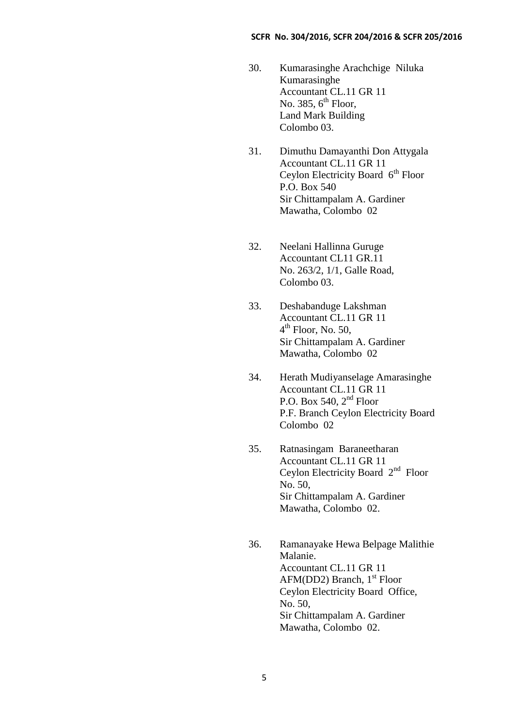- 30. Kumarasinghe Arachchige Niluka Kumarasinghe Accountant CL.11 GR 11 No. 385,  $6^{\text{th}}$  Floor, Land Mark Building Colombo 03.
- 31. Dimuthu Damayanthi Don Attygala Accountant CL.11 GR 11 Ceylon Electricity Board  $6<sup>th</sup>$  Floor P.O. Box 540 Sir Chittampalam A. Gardiner Mawatha, Colombo 02
- 32. Neelani Hallinna Guruge Accountant CL11 GR.11 No. 263/2, 1/1, Galle Road, Colombo 03.
- 33. Deshabanduge Lakshman Accountant CL.11 GR 11 4<sup>th</sup> Floor, No. 50, Sir Chittampalam A. Gardiner Mawatha, Colombo 02
- 34. Herath Mudiyanselage Amarasinghe Accountant CL.11 GR 11 P.O. Box 540,  $2<sup>nd</sup>$  Floor P.F. Branch Ceylon Electricity Board Colombo 02
- 35. Ratnasingam Baraneetharan Accountant CL.11 GR 11 Ceylon Electricity Board 2<sup>nd</sup> Floor No. 50, Sir Chittampalam A. Gardiner Mawatha, Colombo 02.
- 36. Ramanayake Hewa Belpage Malithie Malanie. Accountant CL.11 GR 11 AFM(DD2) Branch,  $1<sup>st</sup>$  Floor Ceylon Electricity Board Office, No. 50, Sir Chittampalam A. Gardiner Mawatha, Colombo 02.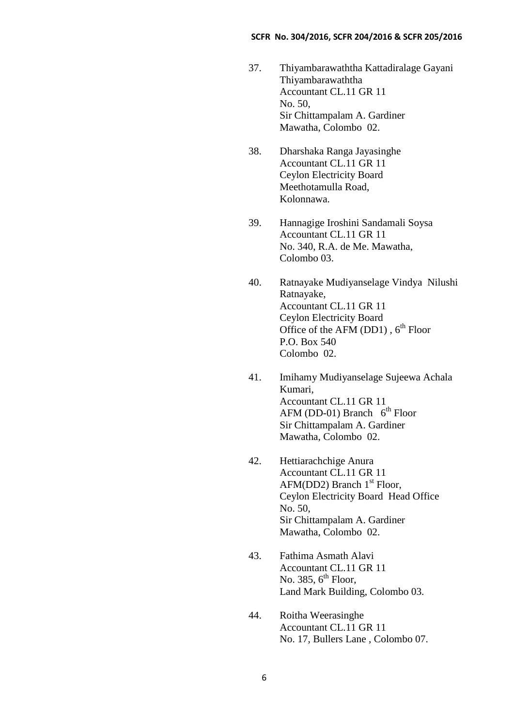- 37. Thiyambarawaththa Kattadiralage Gayani Thiyambarawaththa Accountant CL.11 GR 11 No. 50, Sir Chittampalam A. Gardiner Mawatha, Colombo 02.
- 38. Dharshaka Ranga Jayasinghe Accountant CL.11 GR 11 Ceylon Electricity Board Meethotamulla Road, Kolonnawa.
- 39. Hannagige Iroshini Sandamali Soysa Accountant CL.11 GR 11 No. 340, R.A. de Me. Mawatha, Colombo 03.
- 40. Ratnayake Mudiyanselage Vindya Nilushi Ratnayake, Accountant CL.11 GR 11 Ceylon Electricity Board Office of the AFM (DD1),  $6<sup>th</sup>$  Floor P.O. Box 540 Colombo 02.
- 41. Imihamy Mudiyanselage Sujeewa Achala Kumari, Accountant CL.11 GR 11 AFM (DD-01) Branch  $6<sup>th</sup>$  Floor Sir Chittampalam A. Gardiner Mawatha, Colombo 02.
- 42. Hettiarachchige Anura Accountant CL.11 GR 11  $AFM(DD2)$  Branch  $1<sup>st</sup>$  Floor, Ceylon Electricity Board Head Office No. 50, Sir Chittampalam A. Gardiner Mawatha, Colombo 02.
- 43. Fathima Asmath Alavi Accountant CL.11 GR 11 No. 385,  $6^{\text{th}}$  Floor, Land Mark Building, Colombo 03.
- 44. Roitha Weerasinghe Accountant CL.11 GR 11 No. 17, Bullers Lane , Colombo 07.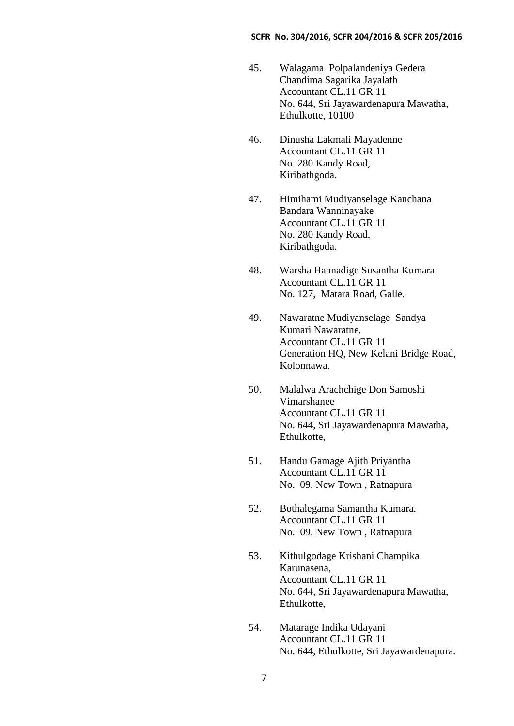- 45. Walagama Polpalandeniya Gedera Chandima Sagarika Jayalath Accountant CL.11 GR 11 No. 644, Sri Jayawardenapura Mawatha, Ethulkotte, 10100
- 46. Dinusha Lakmali Mayadenne Accountant CL.11 GR 11 No. 280 Kandy Road, Kiribathgoda.
- 47. Himihami Mudiyanselage Kanchana Bandara Wanninayake Accountant CL.11 GR 11 No. 280 Kandy Road, Kiribathgoda.
- 48. Warsha Hannadige Susantha Kumara Accountant CL.11 GR 11 No. 127, Matara Road, Galle.
- 49. Nawaratne Mudiyanselage Sandya Kumari Nawaratne, Accountant CL.11 GR 11 Generation HQ, New Kelani Bridge Road, Kolonnawa.
- 50. Malalwa Arachchige Don Samoshi Vimarshanee Accountant CL.11 GR 11 No. 644, Sri Jayawardenapura Mawatha, Ethulkotte,
- 51. Handu Gamage Ajith Priyantha Accountant CL.11 GR 11 No. 09. New Town , Ratnapura
- 52. Bothalegama Samantha Kumara. Accountant CL.11 GR 11 No. 09. New Town , Ratnapura
- 53. Kithulgodage Krishani Champika Karunasena, Accountant CL.11 GR 11 No. 644, Sri Jayawardenapura Mawatha, Ethulkotte,
- 54. Matarage Indika Udayani Accountant CL.11 GR 11 No. 644, Ethulkotte, Sri Jayawardenapura.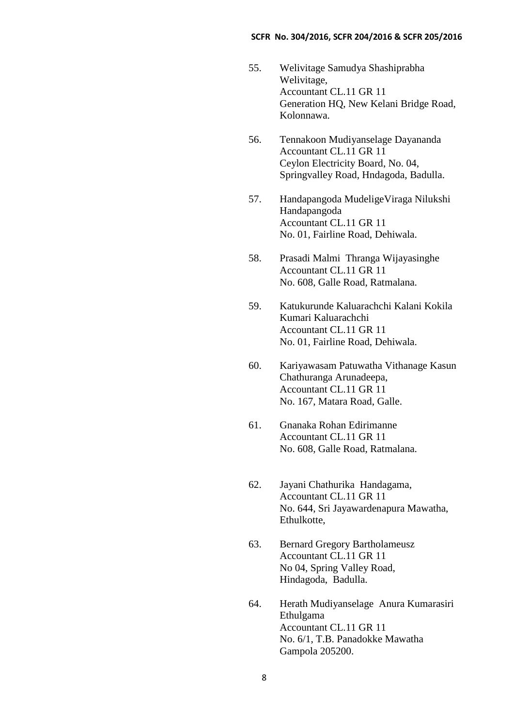- 55. Welivitage Samudya Shashiprabha Welivitage, Accountant CL.11 GR 11 Generation HQ, New Kelani Bridge Road, Kolonnawa.
- 56. Tennakoon Mudiyanselage Dayananda Accountant CL.11 GR 11 Ceylon Electricity Board, No. 04, Springvalley Road, Hndagoda, Badulla.
- 57. Handapangoda MudeligeViraga Nilukshi Handapangoda Accountant CL.11 GR 11 No. 01, Fairline Road, Dehiwala.
- 58. Prasadi Malmi Thranga Wijayasinghe Accountant CL.11 GR 11 No. 608, Galle Road, Ratmalana.
- 59. Katukurunde Kaluarachchi Kalani Kokila Kumari Kaluarachchi Accountant CL.11 GR 11 No. 01, Fairline Road, Dehiwala.
- 60. Kariyawasam Patuwatha Vithanage Kasun Chathuranga Arunadeepa, Accountant CL.11 GR 11 No. 167, Matara Road, Galle.
- 61. Gnanaka Rohan Edirimanne Accountant CL.11 GR 11 No. 608, Galle Road, Ratmalana.
- 62. Jayani Chathurika Handagama, Accountant CL.11 GR 11 No. 644, Sri Jayawardenapura Mawatha, Ethulkotte,
- 63. Bernard Gregory Bartholameusz Accountant CL.11 GR 11 No 04, Spring Valley Road, Hindagoda, Badulla.
- 64. Herath Mudiyanselage Anura Kumarasiri Ethulgama Accountant CL.11 GR 11 No. 6/1, T.B. Panadokke Mawatha Gampola 205200.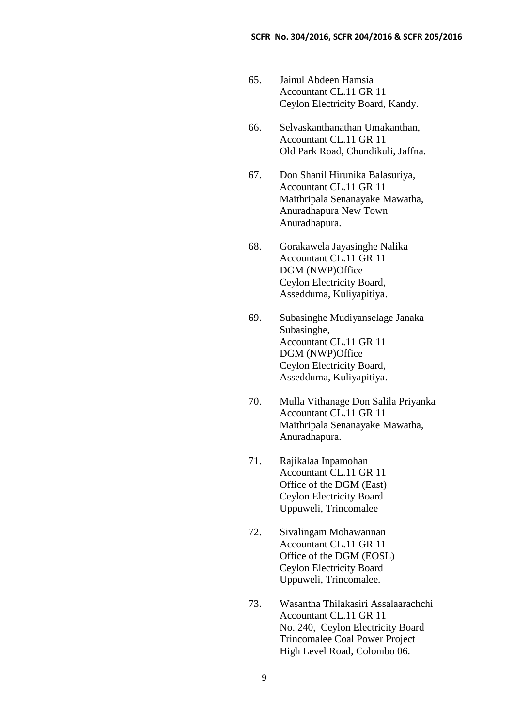- 65. Jainul Abdeen Hamsia Accountant CL.11 GR 11 Ceylon Electricity Board, Kandy.
- 66. Selvaskanthanathan Umakanthan, Accountant CL.11 GR 11 Old Park Road, Chundikuli, Jaffna.
- 67. Don Shanil Hirunika Balasuriya, Accountant CL.11 GR 11 Maithripala Senanayake Mawatha, Anuradhapura New Town Anuradhapura.
- 68. Gorakawela Jayasinghe Nalika Accountant CL.11 GR 11 DGM (NWP)Office Ceylon Electricity Board, Assedduma, Kuliyapitiya.
- 69. Subasinghe Mudiyanselage Janaka Subasinghe, Accountant CL.11 GR 11 DGM (NWP)Office Ceylon Electricity Board, Assedduma, Kuliyapitiya.
- 70. Mulla Vithanage Don Salila Priyanka Accountant CL.11 GR 11 Maithripala Senanayake Mawatha, Anuradhapura.
- 71. Rajikalaa Inpamohan Accountant CL.11 GR 11 Office of the DGM (East) Ceylon Electricity Board Uppuweli, Trincomalee
- 72. Sivalingam Mohawannan Accountant CL.11 GR 11 Office of the DGM (EOSL) Ceylon Electricity Board Uppuweli, Trincomalee.
- 73. Wasantha Thilakasiri Assalaarachchi Accountant CL.11 GR 11 No. 240, Ceylon Electricity Board Trincomalee Coal Power Project High Level Road, Colombo 06.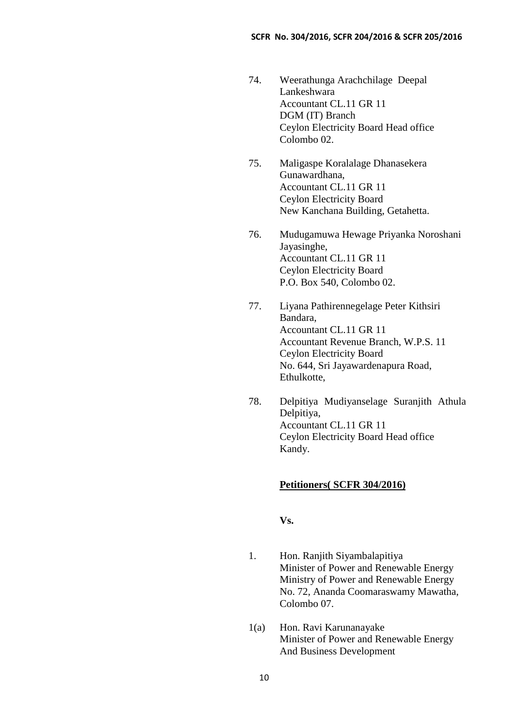- 74. Weerathunga Arachchilage Deepal Lankeshwara Accountant CL.11 GR 11 DGM (IT) Branch Ceylon Electricity Board Head office Colombo 02.
- 75. Maligaspe Koralalage Dhanasekera Gunawardhana, Accountant CL.11 GR 11 Ceylon Electricity Board New Kanchana Building, Getahetta.
- 76. Mudugamuwa Hewage Priyanka Noroshani Jayasinghe, Accountant CL.11 GR 11 Ceylon Electricity Board P.O. Box 540, Colombo 02.
- 77. Liyana Pathirennegelage Peter Kithsiri Bandara, Accountant CL.11 GR 11 Accountant Revenue Branch, W.P.S. 11 Ceylon Electricity Board No. 644, Sri Jayawardenapura Road, Ethulkotte,
- 78. Delpitiya Mudiyanselage Suranjith Athula Delpitiya, Accountant CL.11 GR 11 Ceylon Electricity Board Head office Kandy.

## **Petitioners( SCFR 304/2016)**

**Vs.**

- 1. Hon. Ranjith Siyambalapitiya Minister of Power and Renewable Energy Ministry of Power and Renewable Energy No. 72, Ananda Coomaraswamy Mawatha, Colombo 07.
- 1(a) Hon. Ravi Karunanayake Minister of Power and Renewable Energy And Business Development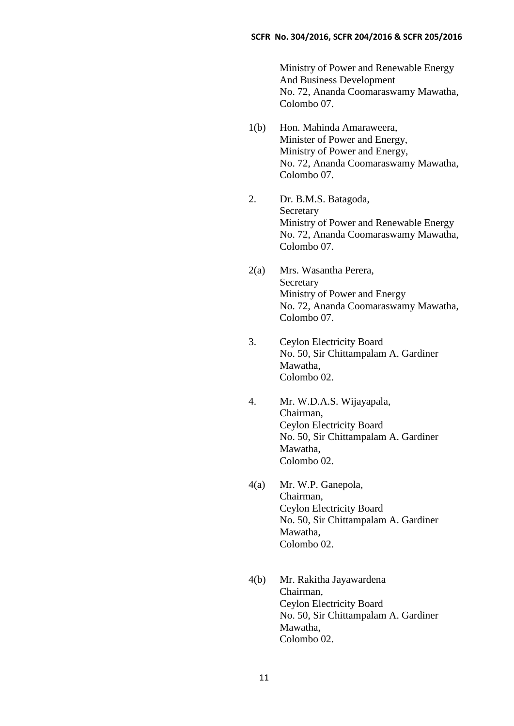Ministry of Power and Renewable Energy And Business Development No. 72, Ananda Coomaraswamy Mawatha, Colombo 07.

- 1(b) Hon. Mahinda Amaraweera, Minister of Power and Energy, Ministry of Power and Energy, No. 72, Ananda Coomaraswamy Mawatha, Colombo 07.
- 2. Dr. B.M.S. Batagoda, Secretary Ministry of Power and Renewable Energy No. 72, Ananda Coomaraswamy Mawatha, Colombo 07.
- 2(a) Mrs. Wasantha Perera, **Secretary** Ministry of Power and Energy No. 72, Ananda Coomaraswamy Mawatha, Colombo 07.
- 3. Ceylon Electricity Board No. 50, Sir Chittampalam A. Gardiner Mawatha, Colombo 02.
- 4. Mr. W.D.A.S. Wijayapala, Chairman, Ceylon Electricity Board No. 50, Sir Chittampalam A. Gardiner Mawatha, Colombo 02.
- 4(a) Mr. W.P. Ganepola, Chairman, Ceylon Electricity Board No. 50, Sir Chittampalam A. Gardiner Mawatha, Colombo 02.
- 4(b) Mr. Rakitha Jayawardena Chairman, Ceylon Electricity Board No. 50, Sir Chittampalam A. Gardiner Mawatha, Colombo 02.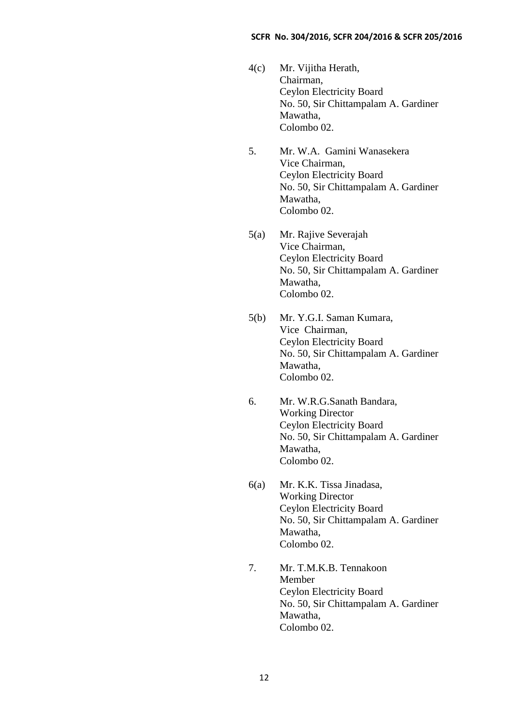- 4(c) Mr. Vijitha Herath, Chairman, Ceylon Electricity Board No. 50, Sir Chittampalam A. Gardiner Mawatha, Colombo 02.
- 5. Mr. W.A. Gamini Wanasekera Vice Chairman, Ceylon Electricity Board No. 50, Sir Chittampalam A. Gardiner Mawatha, Colombo 02.
- 5(a) Mr. Rajive Severajah Vice Chairman, Ceylon Electricity Board No. 50, Sir Chittampalam A. Gardiner Mawatha, Colombo 02.
- 5(b) Mr. Y.G.I. Saman Kumara, Vice Chairman, Ceylon Electricity Board No. 50, Sir Chittampalam A. Gardiner Mawatha, Colombo 02.
- 6. Mr. W.R.G.Sanath Bandara, Working Director Ceylon Electricity Board No. 50, Sir Chittampalam A. Gardiner Mawatha, Colombo 02.
- 6(a) Mr. K.K. Tissa Jinadasa, Working Director Ceylon Electricity Board No. 50, Sir Chittampalam A. Gardiner Mawatha, Colombo 02.
- 7. Mr. T.M.K.B. Tennakoon Member Ceylon Electricity Board No. 50, Sir Chittampalam A. Gardiner Mawatha, Colombo 02.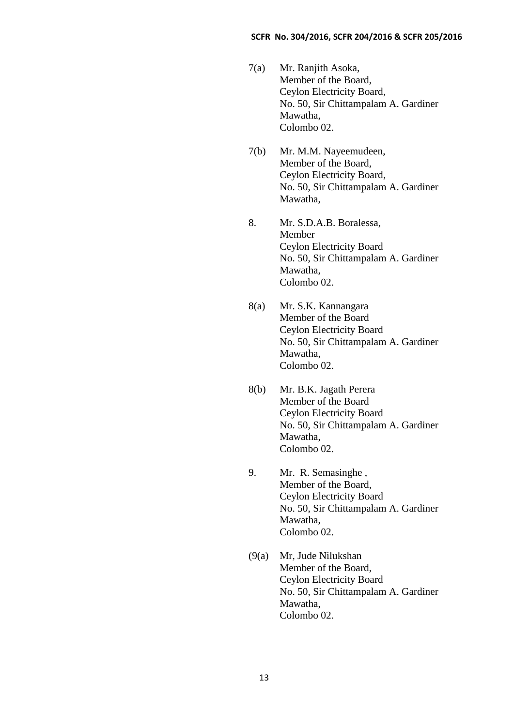- 7(a) Mr. Ranjith Asoka, Member of the Board, Ceylon Electricity Board, No. 50, Sir Chittampalam A. Gardiner Mawatha, Colombo 02.
- 7(b) Mr. M.M. Nayeemudeen, Member of the Board, Ceylon Electricity Board, No. 50, Sir Chittampalam A. Gardiner Mawatha,
- 8. Mr. S.D.A.B. Boralessa, Member Ceylon Electricity Board No. 50, Sir Chittampalam A. Gardiner Mawatha, Colombo 02.
- 8(a) Mr. S.K. Kannangara Member of the Board Ceylon Electricity Board No. 50, Sir Chittampalam A. Gardiner Mawatha, Colombo 02.
- 8(b) Mr. B.K. Jagath Perera Member of the Board Ceylon Electricity Board No. 50, Sir Chittampalam A. Gardiner Mawatha, Colombo 02.
- 9. Mr. R. Semasinghe , Member of the Board, Ceylon Electricity Board No. 50, Sir Chittampalam A. Gardiner Mawatha, Colombo 02.
- (9(a) Mr, Jude Nilukshan Member of the Board, Ceylon Electricity Board No. 50, Sir Chittampalam A. Gardiner Mawatha, Colombo 02.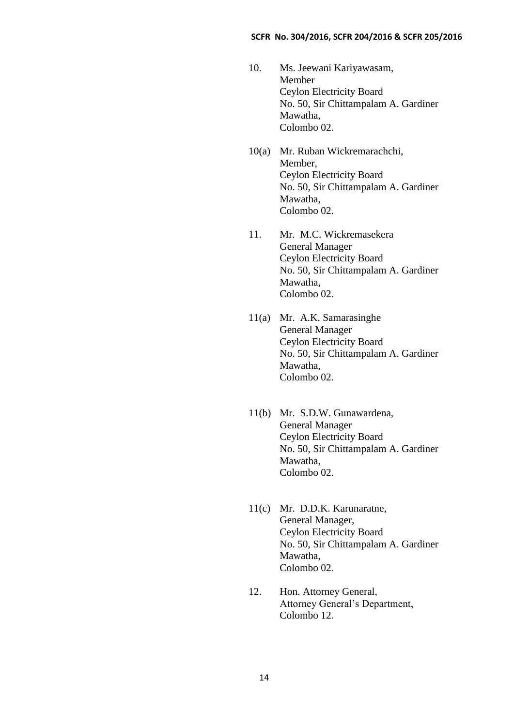- 10. Ms. Jeewani Kariyawasam, Member Ceylon Electricity Board No. 50, Sir Chittampalam A. Gardiner Mawatha, Colombo 02.
- 10(a) Mr. Ruban Wickremarachchi, Member, Ceylon Electricity Board No. 50, Sir Chittampalam A. Gardiner Mawatha, Colombo 02.
- 11. Mr. M.C. Wickremasekera General Manager Ceylon Electricity Board No. 50, Sir Chittampalam A. Gardiner Mawatha, Colombo 02.
- 11(a) Mr. A.K. Samarasinghe General Manager Ceylon Electricity Board No. 50, Sir Chittampalam A. Gardiner Mawatha, Colombo 02.
- 11(b) Mr. S.D.W. Gunawardena, General Manager Ceylon Electricity Board No. 50, Sir Chittampalam A. Gardiner Mawatha, Colombo 02.
- 11(c) Mr. D.D.K. Karunaratne, General Manager, Ceylon Electricity Board No. 50, Sir Chittampalam A. Gardiner Mawatha, Colombo 02.
- 12. Hon. Attorney General, Attorney General's Department, Colombo 12.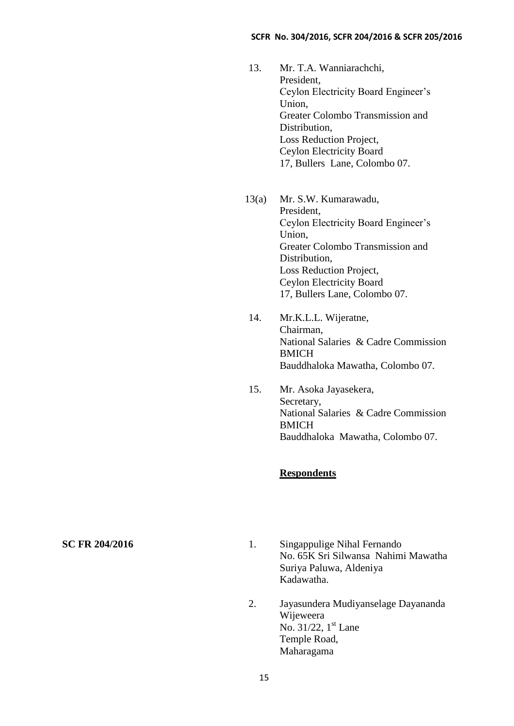- 13. Mr. T.A. Wanniarachchi, President, Ceylon Electricity Board Engineer's Union, Greater Colombo Transmission and Distribution, Loss Reduction Project, Ceylon Electricity Board 17, Bullers Lane, Colombo 07.
- 13(a) Mr. S.W. Kumarawadu, President, Ceylon Electricity Board Engineer's Union, Greater Colombo Transmission and Distribution, Loss Reduction Project, Ceylon Electricity Board 17, Bullers Lane, Colombo 07.
- 14. Mr.K.L.L. Wijeratne, Chairman, National Salaries & Cadre Commission **BMICH** Bauddhaloka Mawatha, Colombo 07.
- 15. Mr. Asoka Jayasekera, Secretary, National Salaries & Cadre Commission BMICH Bauddhaloka Mawatha, Colombo 07.

## **Respondents**

- **SC FR 204/2016** 1. Singappulige Nihal Fernando No. 65K Sri Silwansa Nahimi Mawatha Suriya Paluwa, Aldeniya Kadawatha.
	- 2. Jayasundera Mudiyanselage Dayananda Wijeweera No.  $31/22$ ,  $1<sup>st</sup>$  Lane Temple Road, Maharagama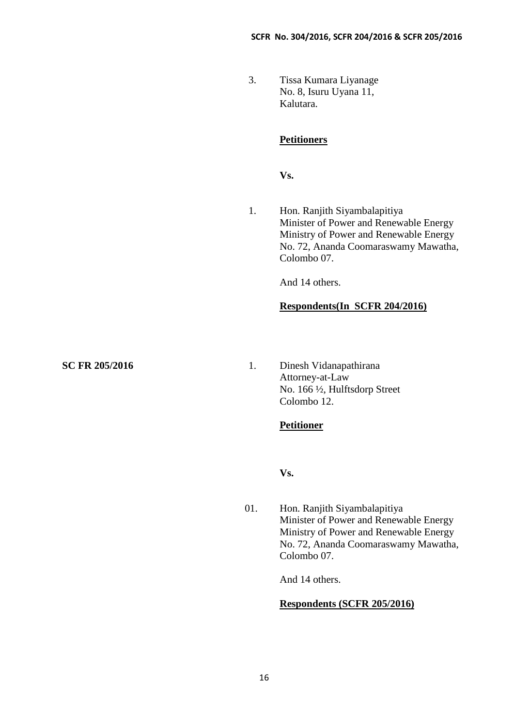3. Tissa Kumara Liyanage No. 8, Isuru Uyana 11, Kalutara.

## **Petitioners**

**Vs.**

1. Hon. Ranjith Siyambalapitiya Minister of Power and Renewable Energy Ministry of Power and Renewable Energy No. 72, Ananda Coomaraswamy Mawatha, Colombo 07.

And 14 others.

## **Respondents(In SCFR 204/2016)**

**SC FR 205/2016** 1. Dinesh Vidanapathirana Attorney-at-Law No. 166 ½, Hulftsdorp Street Colombo 12.

## **Petitioner**

**Vs.**

01. Hon. Ranjith Siyambalapitiya Minister of Power and Renewable Energy Ministry of Power and Renewable Energy No. 72, Ananda Coomaraswamy Mawatha, Colombo 07.

And 14 others.

## **Respondents (SCFR 205/2016)**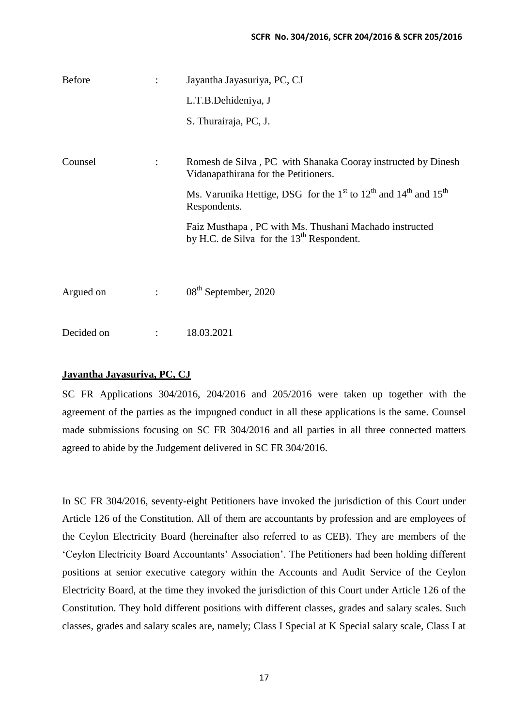| <b>Before</b> |                      | Jayantha Jayasuriya, PC, CJ                                                                                                     |
|---------------|----------------------|---------------------------------------------------------------------------------------------------------------------------------|
|               |                      | L.T.B.Dehideniya, J                                                                                                             |
|               |                      | S. Thurairaja, PC, J.                                                                                                           |
| Counsel       | $\ddot{\cdot}$       | Romesh de Silva, PC with Shanaka Cooray instructed by Dinesh<br>Vidanapathirana for the Petitioners.                            |
|               |                      | Ms. Varunika Hettige, DSG for the 1 <sup>st</sup> to 12 <sup>th</sup> and 14 <sup>th</sup> and 15 <sup>th</sup><br>Respondents. |
|               |                      | Faiz Musthapa, PC with Ms. Thushani Machado instructed<br>by H.C. de Silva for the $13th$ Respondent.                           |
|               |                      |                                                                                                                                 |
| Argued on     | $\ddot{\phantom{a}}$ | 08 <sup>th</sup> September, 2020                                                                                                |
| Decided on    | $\ddot{\cdot}$       | 18.03.2021                                                                                                                      |

## **Jayantha Jayasuriya, PC, CJ**

SC FR Applications 304/2016, 204/2016 and 205/2016 were taken up together with the agreement of the parties as the impugned conduct in all these applications is the same. Counsel made submissions focusing on SC FR 304/2016 and all parties in all three connected matters agreed to abide by the Judgement delivered in SC FR 304/2016.

In SC FR 304/2016, seventy-eight Petitioners have invoked the jurisdiction of this Court under Article 126 of the Constitution. All of them are accountants by profession and are employees of the Ceylon Electricity Board (hereinafter also referred to as CEB). They are members of the 'Ceylon Electricity Board Accountants' Association'. The Petitioners had been holding different positions at senior executive category within the Accounts and Audit Service of the Ceylon Electricity Board, at the time they invoked the jurisdiction of this Court under Article 126 of the Constitution. They hold different positions with different classes, grades and salary scales. Such classes, grades and salary scales are, namely; Class I Special at K Special salary scale, Class I at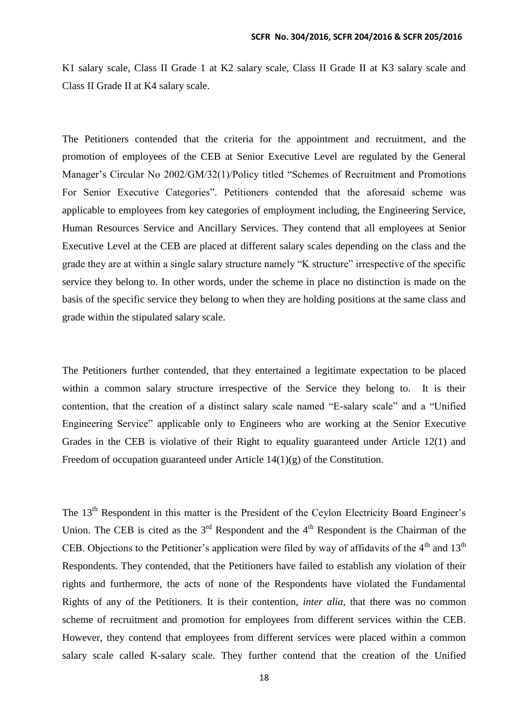K1 salary scale, Class II Grade 1 at K2 salary scale, Class II Grade II at K3 salary scale and Class II Grade II at K4 salary scale.

The Petitioners contended that the criteria for the appointment and recruitment, and the promotion of employees of the CEB at Senior Executive Level are regulated by the General Manager's Circular No 2002/GM/32(1)/Policy titled "Schemes of Recruitment and Promotions For Senior Executive Categories". Petitioners contended that the aforesaid scheme was applicable to employees from key categories of employment including, the Engineering Service, Human Resources Service and Ancillary Services. They contend that all employees at Senior Executive Level at the CEB are placed at different salary scales depending on the class and the grade they are at within a single salary structure namely "K structure" irrespective of the specific service they belong to. In other words, under the scheme in place no distinction is made on the basis of the specific service they belong to when they are holding positions at the same class and grade within the stipulated salary scale.

The Petitioners further contended, that they entertained a legitimate expectation to be placed within a common salary structure irrespective of the Service they belong to. It is their contention, that the creation of a distinct salary scale named "E-salary scale" and a "Unified Engineering Service" applicable only to Engineers who are working at the Senior Executive Grades in the CEB is violative of their Right to equality guaranteed under Article 12(1) and Freedom of occupation guaranteed under Article  $14(1)(g)$  of the Constitution.

The 13<sup>th</sup> Respondent in this matter is the President of the Ceylon Electricity Board Engineer's Union. The CEB is cited as the  $3<sup>rd</sup>$  Respondent and the  $4<sup>th</sup>$  Respondent is the Chairman of the CEB. Objections to the Petitioner's application were filed by way of affidavits of the  $4<sup>th</sup>$  and  $13<sup>th</sup>$ Respondents. They contended, that the Petitioners have failed to establish any violation of their rights and furthermore, the acts of none of the Respondents have violated the Fundamental Rights of any of the Petitioners. It is their contention, *inter alia,* that there was no common scheme of recruitment and promotion for employees from different services within the CEB. However, they contend that employees from different services were placed within a common salary scale called K-salary scale. They further contend that the creation of the Unified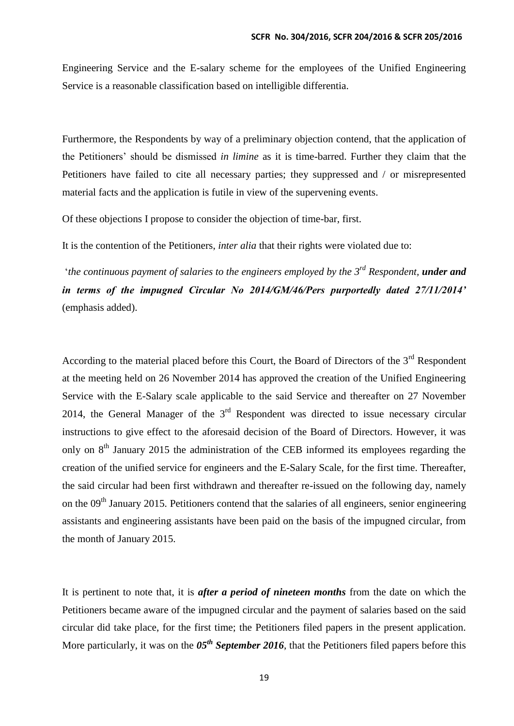Engineering Service and the E-salary scheme for the employees of the Unified Engineering Service is a reasonable classification based on intelligible differentia.

Furthermore, the Respondents by way of a preliminary objection contend, that the application of the Petitioners' should be dismissed *in limine* as it is time-barred. Further they claim that the Petitioners have failed to cite all necessary parties; they suppressed and / or misrepresented material facts and the application is futile in view of the supervening events.

Of these objections I propose to consider the objection of time-bar, first.

It is the contention of the Petitioners, *inter alia* that their rights were violated due to:

'*the continuous payment of salaries to the engineers employed by the 3rd Respondent, under and in terms of the impugned Circular No 2014/GM/46/Pers purportedly dated 27/11/2014'*  (emphasis added).

According to the material placed before this Court, the Board of Directors of the 3<sup>rd</sup> Respondent at the meeting held on 26 November 2014 has approved the creation of the Unified Engineering Service with the E-Salary scale applicable to the said Service and thereafter on 27 November 2014, the General Manager of the  $3<sup>rd</sup>$  Respondent was directed to issue necessary circular instructions to give effect to the aforesaid decision of the Board of Directors. However, it was only on  $8<sup>th</sup>$  January 2015 the administration of the CEB informed its employees regarding the creation of the unified service for engineers and the E-Salary Scale, for the first time. Thereafter, the said circular had been first withdrawn and thereafter re-issued on the following day, namely on the  $09<sup>th</sup>$  January 2015. Petitioners contend that the salaries of all engineers, senior engineering assistants and engineering assistants have been paid on the basis of the impugned circular, from the month of January 2015.

It is pertinent to note that, it is *after a period of nineteen months* from the date on which the Petitioners became aware of the impugned circular and the payment of salaries based on the said circular did take place, for the first time; the Petitioners filed papers in the present application. More particularly, it was on the  $0.5<sup>th</sup>$  *September 2016*, that the Petitioners filed papers before this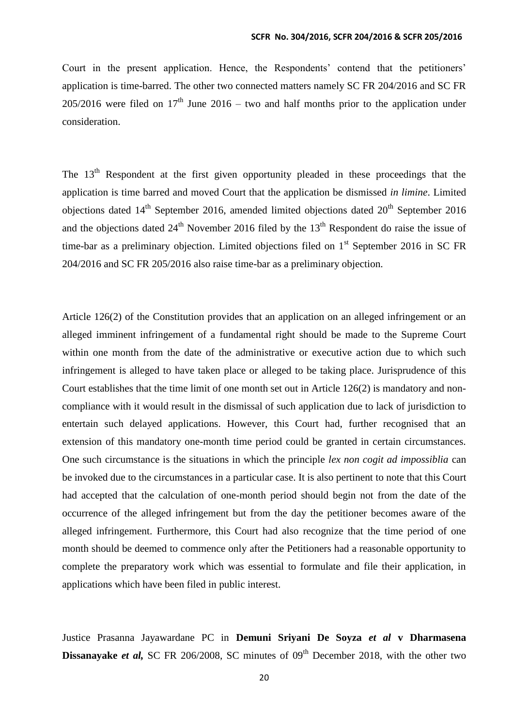Court in the present application. Hence, the Respondents' contend that the petitioners' application is time-barred. The other two connected matters namely SC FR 204/2016 and SC FR  $205/2016$  were filed on  $17<sup>th</sup>$  June  $2016$  – two and half months prior to the application under consideration.

The  $13<sup>th</sup>$  Respondent at the first given opportunity pleaded in these proceedings that the application is time barred and moved Court that the application be dismissed *in limine*. Limited objections dated  $14<sup>th</sup>$  September 2016, amended limited objections dated  $20<sup>th</sup>$  September 2016 and the objections dated  $24<sup>th</sup>$  November 2016 filed by the  $13<sup>th</sup>$  Respondent do raise the issue of time-bar as a preliminary objection. Limited objections filed on  $1<sup>st</sup>$  September 2016 in SC FR 204/2016 and SC FR 205/2016 also raise time-bar as a preliminary objection.

Article 126(2) of the Constitution provides that an application on an alleged infringement or an alleged imminent infringement of a fundamental right should be made to the Supreme Court within one month from the date of the administrative or executive action due to which such infringement is alleged to have taken place or alleged to be taking place. Jurisprudence of this Court establishes that the time limit of one month set out in Article 126(2) is mandatory and noncompliance with it would result in the dismissal of such application due to lack of jurisdiction to entertain such delayed applications. However, this Court had, further recognised that an extension of this mandatory one-month time period could be granted in certain circumstances. One such circumstance is the situations in which the principle *lex non cogit ad impossiblia* can be invoked due to the circumstances in a particular case. It is also pertinent to note that this Court had accepted that the calculation of one-month period should begin not from the date of the occurrence of the alleged infringement but from the day the petitioner becomes aware of the alleged infringement. Furthermore, this Court had also recognize that the time period of one month should be deemed to commence only after the Petitioners had a reasonable opportunity to complete the preparatory work which was essential to formulate and file their application, in applications which have been filed in public interest.

Justice Prasanna Jayawardane PC in **Demuni Sriyani De Soyza** *et al* **v Dharmasena Dissanayake** *et al***, SC FR 206/2008, SC minutes of 09<sup>th</sup> December 2018, with the other two**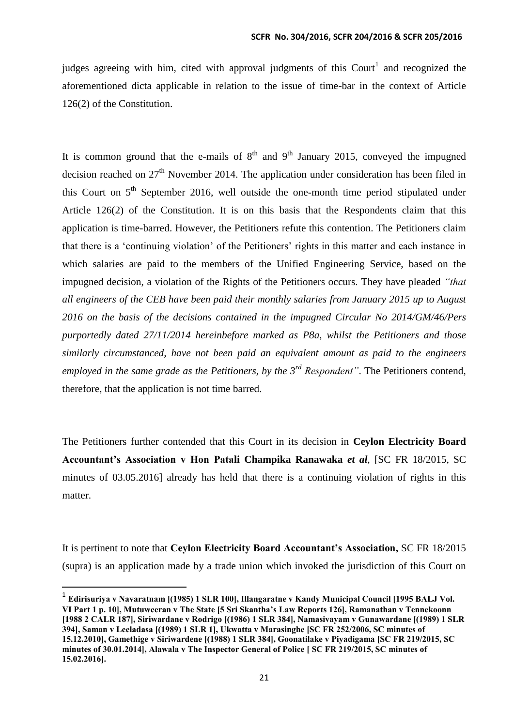judges agreeing with him, cited with approval judgments of this Court<sup>1</sup> and recognized the aforementioned dicta applicable in relation to the issue of time-bar in the context of Article 126(2) of the Constitution.

It is common ground that the e-mails of  $8<sup>th</sup>$  and  $9<sup>th</sup>$  January 2015, conveyed the impugned decision reached on  $27<sup>th</sup>$  November 2014. The application under consideration has been filed in this Court on  $5<sup>th</sup>$  September 2016, well outside the one-month time period stipulated under Article 126(2) of the Constitution. It is on this basis that the Respondents claim that this application is time-barred. However, the Petitioners refute this contention. The Petitioners claim that there is a 'continuing violation' of the Petitioners' rights in this matter and each instance in which salaries are paid to the members of the Unified Engineering Service, based on the impugned decision, a violation of the Rights of the Petitioners occurs. They have pleaded *"that all engineers of the CEB have been paid their monthly salaries from January 2015 up to August 2016 on the basis of the decisions contained in the impugned Circular No 2014/GM/46/Pers purportedly dated 27/11/2014 hereinbefore marked as P8a, whilst the Petitioners and those similarly circumstanced, have not been paid an equivalent amount as paid to the engineers employed in the same grade as the Petitioners, by the 3rd Respondent"*. The Petitioners contend, therefore, that the application is not time barred.

The Petitioners further contended that this Court in its decision in **Ceylon Electricity Board Accountant's Association v Hon Patali Champika Ranawaka** *et al*, [SC FR 18/2015, SC minutes of 03.05.2016] already has held that there is a continuing violation of rights in this matter.

It is pertinent to note that **Ceylon Electricity Board Accountant's Association,** SC FR 18/2015 (supra) is an application made by a trade union which invoked the jurisdiction of this Court on

1

<sup>&</sup>lt;sup>1</sup> Edirisuriya v Navaratnam [(1985) 1 SLR 100], Illangaratne v Kandy Municipal Council [1995 BALJ Vol. **VI Part 1 p. 10], Mutuweeran v The State [5 Sri Skantha's Law Reports 126], Ramanathan v Tennekoonn [1988 2 CALR 187], Siriwardane v Rodrigo [(1986) 1 SLR 384], Namasivayam v Gunawardane [(1989) 1 SLR 394], Saman v Leeladasa [(1989) 1 SLR 1], Ukwatta v Marasinghe [SC FR 252/2006, SC minutes of 15.12.2010], Gamethige v Siriwardene [(1988) 1 SLR 384], Goonatilake v Piyadigama [SC FR 219/2015, SC minutes of 30.01.2014], Alawala v The Inspector General of Police [ SC FR 219/2015, SC minutes of 15.02.2016].**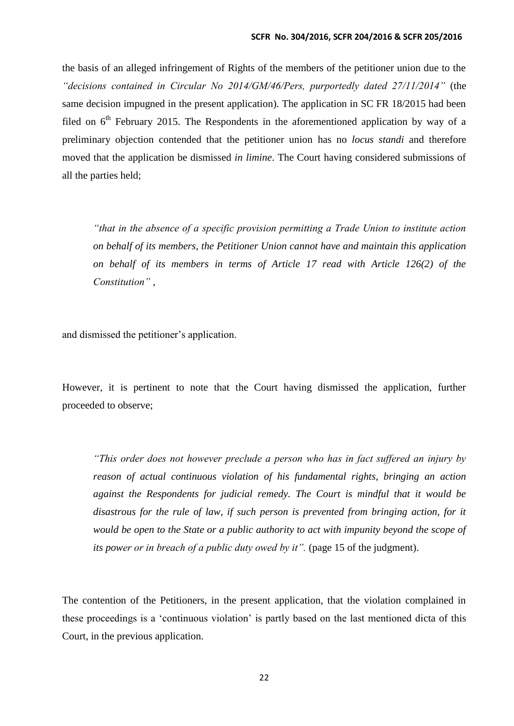the basis of an alleged infringement of Rights of the members of the petitioner union due to the *"decisions contained in Circular No 2014/GM/46/Pers, purportedly dated 27/11/2014"* (the same decision impugned in the present application). The application in SC FR 18/2015 had been filed on  $6<sup>th</sup>$  February 2015. The Respondents in the aforementioned application by way of a preliminary objection contended that the petitioner union has no *locus standi* and therefore moved that the application be dismissed *in limine*. The Court having considered submissions of all the parties held;

*"that in the absence of a specific provision permitting a Trade Union to institute action on behalf of its members, the Petitioner Union cannot have and maintain this application on behalf of its members in terms of Article 17 read with Article 126(2) of the Constitution"* ,

and dismissed the petitioner's application.

However, it is pertinent to note that the Court having dismissed the application, further proceeded to observe;

*"This order does not however preclude a person who has in fact suffered an injury by reason of actual continuous violation of his fundamental rights, bringing an action against the Respondents for judicial remedy. The Court is mindful that it would be disastrous for the rule of law, if such person is prevented from bringing action, for it would be open to the State or a public authority to act with impunity beyond the scope of its power or in breach of a public duty owed by it".* (page 15 of the judgment).

The contention of the Petitioners, in the present application, that the violation complained in these proceedings is a 'continuous violation' is partly based on the last mentioned dicta of this Court, in the previous application.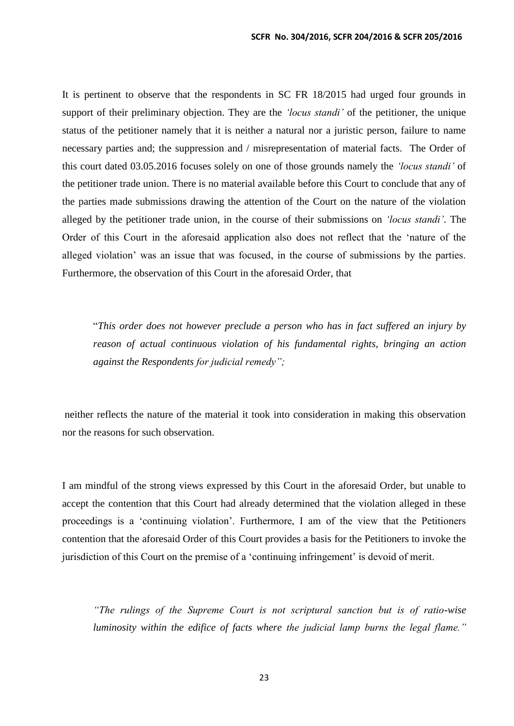It is pertinent to observe that the respondents in SC FR 18/2015 had urged four grounds in support of their preliminary objection. They are the *'locus standi'* of the petitioner, the unique status of the petitioner namely that it is neither a natural nor a juristic person, failure to name necessary parties and; the suppression and / misrepresentation of material facts. The Order of this court dated 03.05.2016 focuses solely on one of those grounds namely the *'locus standi'* of the petitioner trade union. There is no material available before this Court to conclude that any of the parties made submissions drawing the attention of the Court on the nature of the violation alleged by the petitioner trade union, in the course of their submissions on *'locus standi'*. The Order of this Court in the aforesaid application also does not reflect that the 'nature of the alleged violation' was an issue that was focused, in the course of submissions by the parties. Furthermore, the observation of this Court in the aforesaid Order, that

"*This order does not however preclude a person who has in fact suffered an injury by reason of actual continuous violation of his fundamental rights, bringing an action against the Respondents for judicial remedy";*

neither reflects the nature of the material it took into consideration in making this observation nor the reasons for such observation.

I am mindful of the strong views expressed by this Court in the aforesaid Order, but unable to accept the contention that this Court had already determined that the violation alleged in these proceedings is a 'continuing violation'. Furthermore, I am of the view that the Petitioners contention that the aforesaid Order of this Court provides a basis for the Petitioners to invoke the jurisdiction of this Court on the premise of a 'continuing infringement' is devoid of merit.

*"The rulings of the Supreme Court is not scriptural sanction but is of ratio-wise luminosity within the edifice of facts where the judicial lamp burns the legal flame."*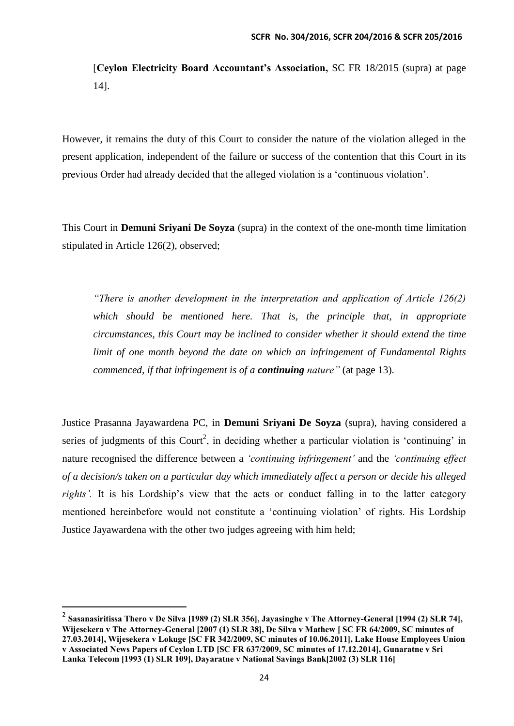[**Ceylon Electricity Board Accountant's Association,** SC FR 18/2015 (supra) at page 14].

However, it remains the duty of this Court to consider the nature of the violation alleged in the present application, independent of the failure or success of the contention that this Court in its previous Order had already decided that the alleged violation is a 'continuous violation'.

This Court in **Demuni Sriyani De Soyza** (supra) in the context of the one-month time limitation stipulated in Article 126(2), observed;

*"There is another development in the interpretation and application of Article 126(2) which should be mentioned here. That is, the principle that, in appropriate circumstances, this Court may be inclined to consider whether it should extend the time limit of one month beyond the date on which an infringement of Fundamental Rights commenced, if that infringement is of a continuing nature"* (at page 13).

Justice Prasanna Jayawardena PC, in **Demuni Sriyani De Soyza** (supra), having considered a series of judgments of this Court<sup>2</sup>, in deciding whether a particular violation is 'continuing' in nature recognised the difference between a *'continuing infringement'* and the *'continuing effect of a decision/s taken on a particular day which immediately affect a person or decide his alleged rights'.* It is his Lordship's view that the acts or conduct falling in to the latter category mentioned hereinbefore would not constitute a 'continuing violation' of rights. His Lordship Justice Jayawardena with the other two judges agreeing with him held;

**.** 

<sup>2</sup> **Sasanasiritissa Thero v De Silva [1989 (2) SLR 356], Jayasinghe v The Attorney-General [1994 (2) SLR 74], Wijesekera v The Attorney-General [2007 (1) SLR 38], De Silva v Mathew [ SC FR 64/2009, SC minutes of 27.03.2014], Wijesekera v Lokuge [SC FR 342/2009, SC minutes of 10.06.2011], Lake House Employees Union v Associated News Papers of Ceylon LTD [SC FR 637/2009, SC minutes of 17.12.2014], Gunaratne v Sri Lanka Telecom [1993 (1) SLR 109], Dayaratne v National Savings Bank[2002 (3) SLR 116]**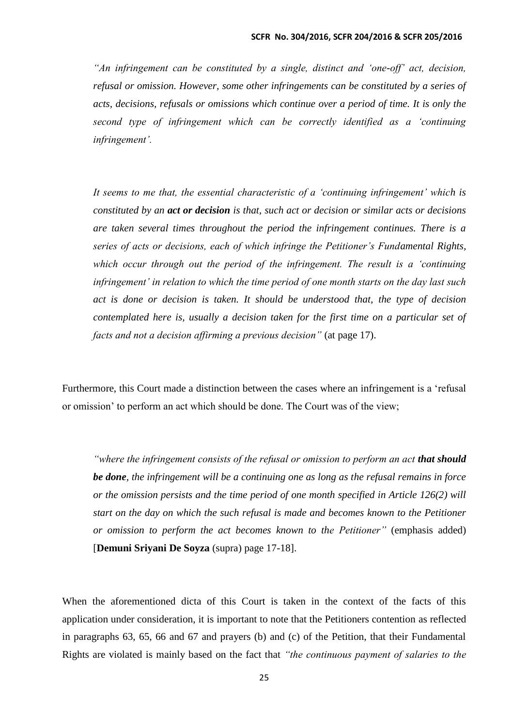*"An infringement can be constituted by a single, distinct and 'one-off' act, decision, refusal or omission. However, some other infringements can be constituted by a series of acts, decisions, refusals or omissions which continue over a period of time. It is only the second type of infringement which can be correctly identified as a 'continuing infringement'.*

*It seems to me that, the essential characteristic of a 'continuing infringement' which is constituted by an act or decision is that, such act or decision or similar acts or decisions are taken several times throughout the period the infringement continues. There is a series of acts or decisions, each of which infringe the Petitioner's Fundamental Rights, which occur through out the period of the infringement. The result is a 'continuing infringement' in relation to which the time period of one month starts on the day last such act is done or decision is taken. It should be understood that, the type of decision contemplated here is, usually a decision taken for the first time on a particular set of facts and not a decision affirming a previous decision"* (at page 17).

Furthermore, this Court made a distinction between the cases where an infringement is a 'refusal or omission' to perform an act which should be done. The Court was of the view;

*"where the infringement consists of the refusal or omission to perform an act that should be done, the infringement will be a continuing one as long as the refusal remains in force or the omission persists and the time period of one month specified in Article 126(2) will start on the day on which the such refusal is made and becomes known to the Petitioner or omission to perform the act becomes known to the Petitioner"* (emphasis added) [**Demuni Sriyani De Soyza** (supra) page 17-18].

When the aforementioned dicta of this Court is taken in the context of the facts of this application under consideration, it is important to note that the Petitioners contention as reflected in paragraphs 63, 65, 66 and 67 and prayers (b) and (c) of the Petition, that their Fundamental Rights are violated is mainly based on the fact that *"the continuous payment of salaries to the*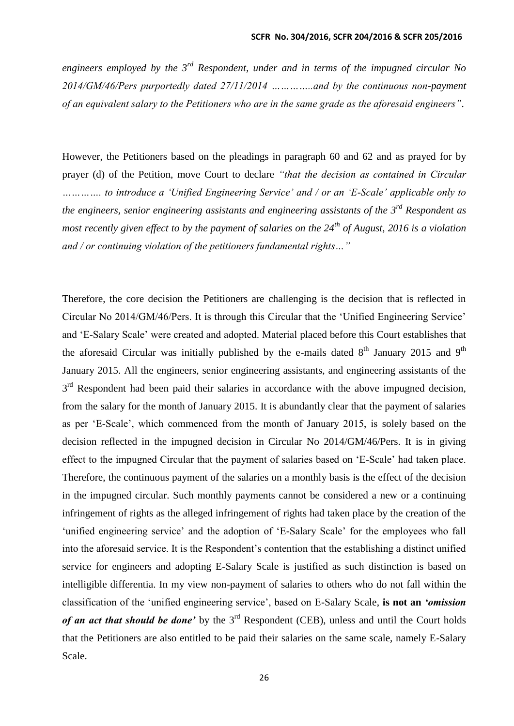*engineers employed by the 3rd Respondent, under and in terms of the impugned circular No 2014/GM/46/Pers purportedly dated 27/11/2014 …………..and by the continuous non-payment of an equivalent salary to the Petitioners who are in the same grade as the aforesaid engineers"*.

However, the Petitioners based on the pleadings in paragraph 60 and 62 and as prayed for by prayer (d) of the Petition, move Court to declare *"that the decision as contained in Circular …………. to introduce a 'Unified Engineering Service' and / or an 'E-Scale' applicable only to the engineers, senior engineering assistants and engineering assistants of the 3rd Respondent as most recently given effect to by the payment of salaries on the 24th of August, 2016 is a violation and / or continuing violation of the petitioners fundamental rights…"*

Therefore, the core decision the Petitioners are challenging is the decision that is reflected in Circular No 2014/GM/46/Pers. It is through this Circular that the 'Unified Engineering Service' and 'E-Salary Scale' were created and adopted. Material placed before this Court establishes that the aforesaid Circular was initially published by the e-mails dated  $8<sup>th</sup>$  January 2015 and  $9<sup>th</sup>$ January 2015. All the engineers, senior engineering assistants, and engineering assistants of the  $3<sup>rd</sup>$  Respondent had been paid their salaries in accordance with the above impugned decision, from the salary for the month of January 2015. It is abundantly clear that the payment of salaries as per 'E-Scale', which commenced from the month of January 2015, is solely based on the decision reflected in the impugned decision in Circular No 2014/GM/46/Pers. It is in giving effect to the impugned Circular that the payment of salaries based on 'E-Scale' had taken place. Therefore, the continuous payment of the salaries on a monthly basis is the effect of the decision in the impugned circular. Such monthly payments cannot be considered a new or a continuing infringement of rights as the alleged infringement of rights had taken place by the creation of the 'unified engineering service' and the adoption of 'E-Salary Scale' for the employees who fall into the aforesaid service. It is the Respondent's contention that the establishing a distinct unified service for engineers and adopting E-Salary Scale is justified as such distinction is based on intelligible differentia. In my view non-payment of salaries to others who do not fall within the classification of the 'unified engineering service', based on E-Salary Scale, **is not an** *'omission of an act that should be done'* by the 3<sup>rd</sup> Respondent (CEB), unless and until the Court holds that the Petitioners are also entitled to be paid their salaries on the same scale, namely E-Salary Scale.